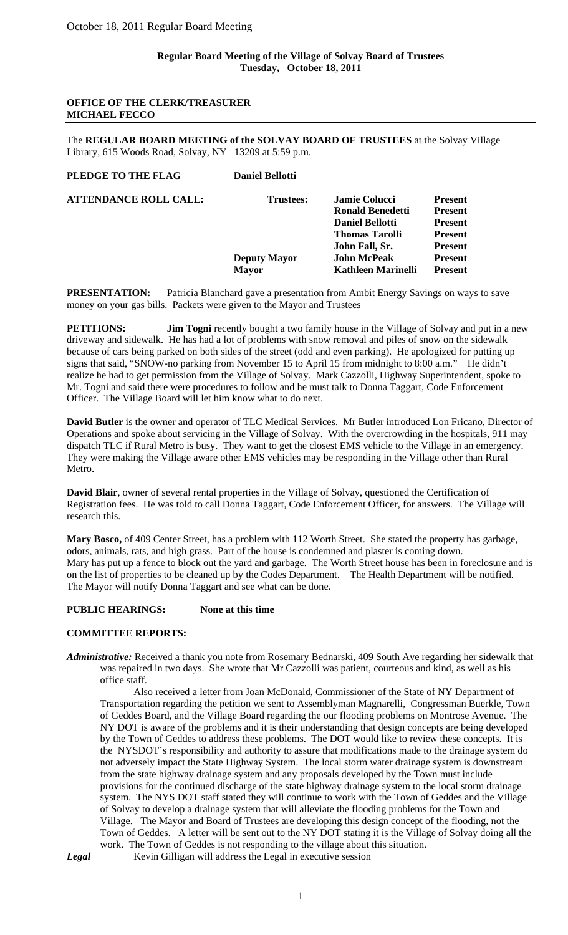# **OFFICE OF THE CLERK/TREASURER MICHAEL FECCO**

The **REGULAR BOARD MEETING of the SOLVAY BOARD OF TRUSTEES** at the Solvay Village Library, 615 Woods Road, Solvay, NY 13209 at 5:59 p.m.

| Jamie Colucci                                                     | <b>Present</b> |
|-------------------------------------------------------------------|----------------|
| <b>Ronald Benedetti</b>                                           | <b>Present</b> |
| <b>Daniel Bellotti</b>                                            | <b>Present</b> |
| <b>Thomas Tarolli</b>                                             | <b>Present</b> |
| John Fall, Sr.                                                    | <b>Present</b> |
| <b>John McPeak</b>                                                | <b>Present</b> |
| <b>Kathleen Marinelli</b>                                         | <b>Present</b> |
| <b>Daniel Bellotti</b><br><b>Trustees:</b><br><b>Deputy Mayor</b> |                |

**PRESENTATION:** Patricia Blanchard gave a presentation from Ambit Energy Savings on ways to save money on your gas bills. Packets were given to the Mayor and Trustees

**PETITIONS: Jim Togni** recently bought a two family house in the Village of Solvay and put in a new driveway and sidewalk. He has had a lot of problems with snow removal and piles of snow on the sidewalk because of cars being parked on both sides of the street (odd and even parking). He apologized for putting up signs that said, "SNOW-no parking from November 15 to April 15 from midnight to 8:00 a.m." He didn't realize he had to get permission from the Village of Solvay. Mark Cazzolli, Highway Superintendent, spoke to Mr. Togni and said there were procedures to follow and he must talk to Donna Taggart, Code Enforcement Officer. The Village Board will let him know what to do next.

**David Butler** is the owner and operator of TLC Medical Services. Mr Butler introduced Lon Fricano, Director of Operations and spoke about servicing in the Village of Solvay. With the overcrowding in the hospitals, 911 may dispatch TLC if Rural Metro is busy. They want to get the closest EMS vehicle to the Village in an emergency. They were making the Village aware other EMS vehicles may be responding in the Village other than Rural Metro.

**David Blair**, owner of several rental properties in the Village of Solvay, questioned the Certification of Registration fees. He was told to call Donna Taggart, Code Enforcement Officer, for answers. The Village will research this.

**Mary Bosco,** of 409 Center Street, has a problem with 112 Worth Street. She stated the property has garbage, odors, animals, rats, and high grass. Part of the house is condemned and plaster is coming down. Mary has put up a fence to block out the yard and garbage. The Worth Street house has been in foreclosure and is on the list of properties to be cleaned up by the Codes Department. The Health Department will be notified. The Mayor will notify Donna Taggart and see what can be done.

## **PUBLIC HEARINGS: None at this time**

## **COMMITTEE REPORTS:**

*Administrative:* Received a thank you note from Rosemary Bednarski, 409 South Ave regarding her sidewalk that was repaired in two days. She wrote that Mr Cazzolli was patient, courteous and kind, as well as his office staff.

Also received a letter from Joan McDonald, Commissioner of the State of NY Department of Transportation regarding the petition we sent to Assemblyman Magnarelli, Congressman Buerkle, Town of Geddes Board, and the Village Board regarding the our flooding problems on Montrose Avenue. The NY DOT is aware of the problems and it is their understanding that design concepts are being developed by the Town of Geddes to address these problems. The DOT would like to review these concepts. It is the NYSDOT's responsibility and authority to assure that modifications made to the drainage system do not adversely impact the State Highway System. The local storm water drainage system is downstream from the state highway drainage system and any proposals developed by the Town must include provisions for the continued discharge of the state highway drainage system to the local storm drainage system. The NYS DOT staff stated they will continue to work with the Town of Geddes and the Village of Solvay to develop a drainage system that will alleviate the flooding problems for the Town and Village. The Mayor and Board of Trustees are developing this design concept of the flooding, not the Town of Geddes. A letter will be sent out to the NY DOT stating it is the Village of Solvay doing all the work. The Town of Geddes is not responding to the village about this situation.

**Legal** Kevin Gilligan will address the Legal in executive session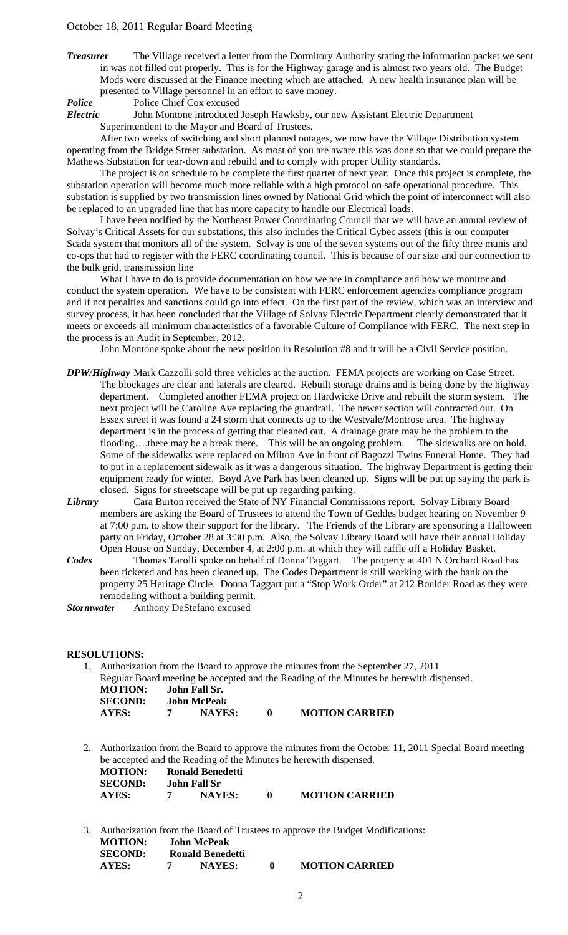## October 18, 2011 Regular Board Meeting

*Treasurer* The Village received a letter from the Dormitory Authority stating the information packet we sent in was not filled out properly. This is for the Highway garage and is almost two years old. The Budget Mods were discussed at the Finance meeting which are attached. A new health insurance plan will be presented to Village personnel in an effort to save money.

*Police* Police Chief Cox excused

*Electric* John Montone introduced Joseph Hawksby, our new Assistant Electric Department Superintendent to the Mayor and Board of Trustees.

After two weeks of switching and short planned outages, we now have the Village Distribution system operating from the Bridge Street substation. As most of you are aware this was done so that we could prepare the Mathews Substation for tear-down and rebuild and to comply with proper Utility standards.

 The project is on schedule to be complete the first quarter of next year. Once this project is complete, the substation operation will become much more reliable with a high protocol on safe operational procedure. This substation is supplied by two transmission lines owned by National Grid which the point of interconnect will also be replaced to an upgraded line that has more capacity to handle our Electrical loads.

I have been notified by the Northeast Power Coordinating Council that we will have an annual review of Solvay's Critical Assets for our substations, this also includes the Critical Cybec assets (this is our computer Scada system that monitors all of the system. Solvay is one of the seven systems out of the fifty three munis and co-ops that had to register with the FERC coordinating council. This is because of our size and our connection to the bulk grid, transmission line

What I have to do is provide documentation on how we are in compliance and how we monitor and conduct the system operation. We have to be consistent with FERC enforcement agencies compliance program and if not penalties and sanctions could go into effect. On the first part of the review, which was an interview and survey process, it has been concluded that the Village of Solvay Electric Department clearly demonstrated that it meets or exceeds all minimum characteristics of a favorable Culture of Compliance with FERC. The next step in the process is an Audit in September, 2012.

John Montone spoke about the new position in Resolution #8 and it will be a Civil Service position.

- *DPW/Highway* Mark Cazzolli sold three vehicles at the auction. FEMA projects are working on Case Street. The blockages are clear and laterals are cleared. Rebuilt storage drains and is being done by the highway department. Completed another FEMA project on Hardwicke Drive and rebuilt the storm system. The next project will be Caroline Ave replacing the guardrail. The newer section will contracted out. On Essex street it was found a 24 storm that connects up to the Westvale/Montrose area. The highway department is in the process of getting that cleaned out. A drainage grate may be the problem to the flooding....there may be a break there. This will be an ongoing problem. The sidewalks are on hold. Some of the sidewalks were replaced on Milton Ave in front of Bagozzi Twins Funeral Home. They had to put in a replacement sidewalk as it was a dangerous situation. The highway Department is getting their equipment ready for winter. Boyd Ave Park has been cleaned up. Signs will be put up saying the park is closed. Signs for streetscape will be put up regarding parking.
- *Library* Cara Burton received the State of NY Financial Commissions report. Solvay Library Board members are asking the Board of Trustees to attend the Town of Geddes budget hearing on November 9 at 7:00 p.m. to show their support for the library. The Friends of the Library are sponsoring a Halloween party on Friday, October 28 at 3:30 p.m. Also, the Solvay Library Board will have their annual Holiday Open House on Sunday, December 4, at 2:00 p.m. at which they will raffle off a Holiday Basket.
- *Codes* Thomas Tarolli spoke on behalf of Donna Taggart. The property at 401 N Orchard Road has been ticketed and has been cleaned up. The Codes Department is still working with the bank on the property 25 Heritage Circle. Donna Taggart put a "Stop Work Order" at 212 Boulder Road as they were remodeling without a building permit.

*Stormwater* Anthony DeStefano excused

## **RESOLUTIONS:**

1. Authorization from the Board to approve the minutes from the September 27, 2011 Regular Board meeting be accepted and the Reading of the Minutes be herewith dispensed. **MOTION: John Fall Sr. SECOND: John McPeak AYES: 7 NAYES: 0 MOTION CARRIED** 

2. Authorization from the Board to approve the minutes from the October 11, 2011 Special Board meeting be accepted and the Reading of the Minutes be herewith dispensed. **MOTION:** Ronald Benedetti<br>**SECOND:** John Fall Sr **SECOND:** John Fall Sr<br>**AYES:** 7 NAYES:

| AYES:                                               | $\mathbf{7}$ | NAYES: | $\mathbf{0}$ | <b>MOTION CARRIED</b>                                                            |
|-----------------------------------------------------|--------------|--------|--------------|----------------------------------------------------------------------------------|
| $M\Omega T$ $N$ $N$ $N$ $N$ $N$ $N$ $N$ $N$ $N$ $N$ |              |        |              | 3. Authorization from the Board of Trustees to approve the Budget Modifications: |

| <b>MOTION:</b> | John McPeak             |                       |
|----------------|-------------------------|-----------------------|
| <b>SECOND:</b> | <b>Ronald Benedetti</b> |                       |
| AYES:          | <b>NAYES:</b>           | <b>MOTION CARRIED</b> |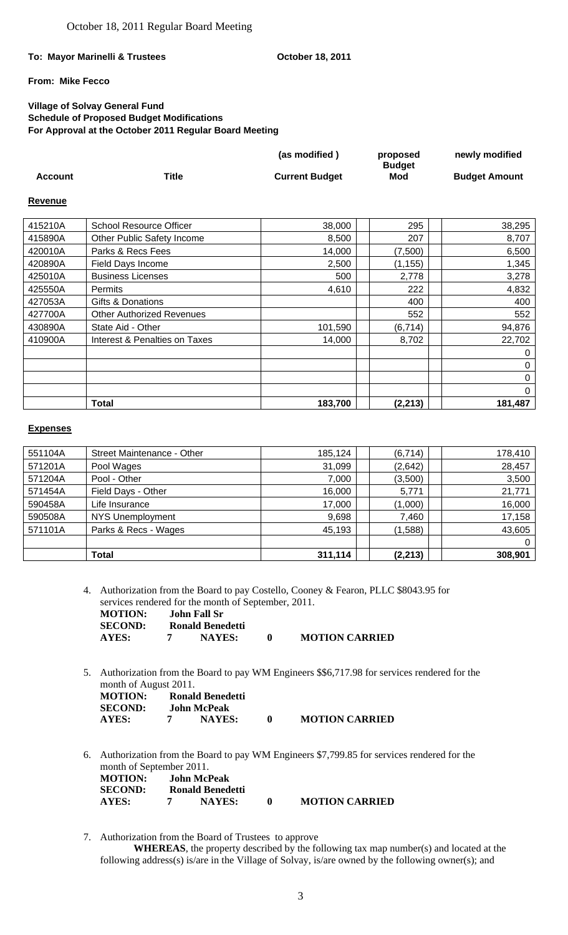## To: Mayor Marinelli & Trustees **Communist Contract Contract Particle Principle Particle Principle Principle Principle Principle Principle Principle Principle Principle Principle Principle Principle Principle Principle Prin**

# **From: Mike Fecco**

# **Village of Solvay General Fund Schedule of Proposed Budget Modifications For Approval at the October 2011 Regular Board Meeting**

|         |       | (as modified)         | proposed      | newly modified       |
|---------|-------|-----------------------|---------------|----------------------|
|         |       |                       | <b>Budget</b> |                      |
| Account | Title | <b>Current Budget</b> | Mod           | <b>Budget Amount</b> |

#### **Revenue**

| 415210A | <b>School Resource Officer</b>   | 38,000  | 295      | 38,295  |
|---------|----------------------------------|---------|----------|---------|
| 415890A | Other Public Safety Income       | 8,500   | 207      | 8,707   |
| 420010A | Parks & Recs Fees                | 14,000  | (7,500)  | 6,500   |
| 420890A | Field Days Income                | 2,500   | (1, 155) | 1,345   |
| 425010A | <b>Business Licenses</b>         | 500     | 2,778    | 3,278   |
| 425550A | <b>Permits</b>                   | 4,610   | 222      | 4,832   |
| 427053A | Gifts & Donations                |         | 400      | 400     |
| 427700A | <b>Other Authorized Revenues</b> |         | 552      | 552     |
| 430890A | State Aid - Other                | 101,590 | (6, 714) | 94,876  |
| 410900A | Interest & Penalties on Taxes    | 14,000  | 8,702    | 22,702  |
|         |                                  |         |          | 0       |
|         |                                  |         |          | 0       |
|         |                                  |         |          | 0       |
|         |                                  |         |          | 0       |
|         | <b>Total</b>                     | 183,700 | (2, 213) | 181,487 |

#### **Expenses**

| 551104A | Street Maintenance - Other | 185,124 | (6, 714) | 178,410 |
|---------|----------------------------|---------|----------|---------|
| 571201A | Pool Wages                 | 31,099  | (2,642)  | 28,457  |
| 571204A | Pool - Other               | 7,000   | (3,500)  | 3,500   |
| 571454A | Field Days - Other         | 16,000  | 5,771    | 21,771  |
| 590458A | Life Insurance             | 17,000  | (1,000)  | 16,000  |
| 590508A | <b>NYS Unemployment</b>    | 9,698   | 7,460    | 17,158  |
| 571101A | Parks & Recs - Wages       | 45,193  | (1,588)  | 43,605  |
|         |                            |         |          | 0       |
|         | Total                      | 311,114 | (2, 213) | 308,901 |

4. Authorization from the Board to pay Costello, Cooney & Fearon, PLLC \$8043.95 for services rendered for the month of September, 2011. **MOTION: John Fall Sr** 

| <b>SECOND:</b> | Ronald Benedetti |                       |
|----------------|------------------|-----------------------|
| AYES:          | <b>NAYES:</b>    | <b>MOTION CARRIED</b> |

5. Authorization from the Board to pay WM Engineers \$\$6,717.98 for services rendered for the month of August 2011.

| <b>MOTION:</b> | Ronald Benedetti   |                       |
|----------------|--------------------|-----------------------|
| <b>SECOND:</b> | <b>John McPeak</b> |                       |
| AYES:          | <b>NAYES:</b>      | <b>MOTION CARRIED</b> |

- 6. Authorization from the Board to pay WM Engineers \$7,799.85 for services rendered for the month of September 2011. **MOTION: John McPeak SECOND:** Ronald Benedetti<br>AYES: 7 NAYES: **AYES: 7 NAYES: 0 MOTION CARRIED**
- 7. Authorization from the Board of Trustees to approve

**WHEREAS**, the property described by the following tax map number(s) and located at the following address(s) is/are in the Village of Solvay, is/are owned by the following owner(s); and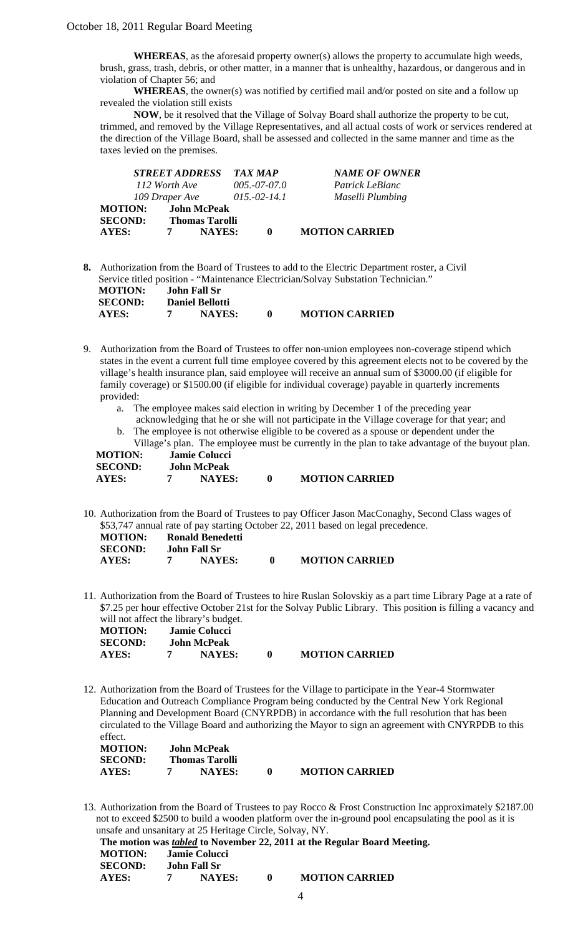**WHEREAS**, as the aforesaid property owner(s) allows the property to accumulate high weeds, brush, grass, trash, debris, or other matter, in a manner that is unhealthy, hazardous, or dangerous and in violation of Chapter 56; and

 **WHEREAS**, the owner(s) was notified by certified mail and/or posted on site and a follow up revealed the violation still exists

 **NOW**, be it resolved that the Village of Solvay Board shall authorize the property to be cut, trimmed, and removed by the Village Representatives, and all actual costs of work or services rendered at the direction of the Village Board, shall be assessed and collected in the same manner and time as the taxes levied on the premises.

|                | <b>STREET ADDRESS</b> |                       | <b>TAX MAP</b>  | <b>NAME OF OWNER</b>  |
|----------------|-----------------------|-----------------------|-----------------|-----------------------|
|                | 112 Worth Ave         |                       | $005,-07-07.0$  | Patrick LeBlanc       |
|                | 109 Draper Ave        |                       | $015.-02-.14.1$ | Maselli Plumbing      |
| <b>MOTION:</b> |                       | <b>John McPeak</b>    |                 |                       |
| <b>SECOND:</b> |                       | <b>Thomas Tarolli</b> |                 |                       |
| <b>AYES:</b>   |                       | <b>NAYES:</b>         | $\mathbf 0$     | <b>MOTION CARRIED</b> |
|                |                       |                       |                 |                       |

**8.** Authorization from the Board of Trustees to add to the Electric Department roster, a Civil Service titled position - "Maintenance Electrician/Solvay Substation Technician."

| <b>MOTION:</b> | John Fall Sr           |                       |
|----------------|------------------------|-----------------------|
| <b>SECOND:</b> | <b>Daniel Bellotti</b> |                       |
| AYES:          | <b>NAYES:</b>          | <b>MOTION CARRIED</b> |

- 9. Authorization from the Board of Trustees to offer non-union employees non-coverage stipend which states in the event a current full time employee covered by this agreement elects not to be covered by the village's health insurance plan, said employee will receive an annual sum of \$3000.00 (if eligible for family coverage) or \$1500.00 (if eligible for individual coverage) payable in quarterly increments provided:
	- a. The employee makes said election in writing by December 1 of the preceding year acknowledging that he or she will not participate in the Village coverage for that year; and
	- b. The employee is not otherwise eligible to be covered as a spouse or dependent under the Village's plan. The employee must be currently in the plan to take advantage of the buyout plan.

| <b>MOTION:</b> | <b>Jamie Colucci</b> |                       |
|----------------|----------------------|-----------------------|
| <b>SECOND:</b> | <b>John McPeak</b>   |                       |
| AYES:          | <b>NAYES:</b>        | <b>MOTION CARRIED</b> |

10. Authorization from the Board of Trustees to pay Officer Jason MacConaghy, Second Class wages of \$53,747 annual rate of pay starting October 22, 2011 based on legal precedence.

| <b>MOTION:</b> | Ronald Benedetti |                       |
|----------------|------------------|-----------------------|
| <b>SECOND:</b> | John Fall Sr     |                       |
| AYES:          | <b>NAYES:</b>    | <b>MOTION CARRIED</b> |

11. Authorization from the Board of Trustees to hire Ruslan Solovskiy as a part time Library Page at a rate of \$7.25 per hour effective October 21st for the Solvay Public Library. This position is filling a vacancy and will not affect the library's budget.

| <b>MOTION:</b> | <b>Jamie Colucci</b> |                       |
|----------------|----------------------|-----------------------|
| <b>SECOND:</b> | <b>John McPeak</b>   |                       |
| AYES:          | <b>NAYES:</b>        | <b>MOTION CARRIED</b> |

12. Authorization from the Board of Trustees for the Village to participate in the Year-4 Stormwater Education and Outreach Compliance Program being conducted by the Central New York Regional Planning and Development Board (CNYRPDB) in accordance with the full resolution that has been circulated to the Village Board and authorizing the Mayor to sign an agreement with CNYRPDB to this effect.

| <b>MOTION:</b> | John McPeak           |                       |
|----------------|-----------------------|-----------------------|
| <b>SECOND:</b> | <b>Thomas Tarolli</b> |                       |
| AYES:          | <b>NAYES:</b>         | <b>MOTION CARRIED</b> |

13. Authorization from the Board of Trustees to pay Rocco & Frost Construction Inc approximately \$2187.00 not to exceed \$2500 to build a wooden platform over the in-ground pool encapsulating the pool as it is unsafe and unsanitary at 25 Heritage Circle, Solvay, NY.

```
The motion was tabled to November 22, 2011 at the Regular Board Meeting. 
 MOTION: Jamie Colucci 
SECOND: John Fall Sr 
AYES: 7 NAYES: 0 MOTION CARRIED
```